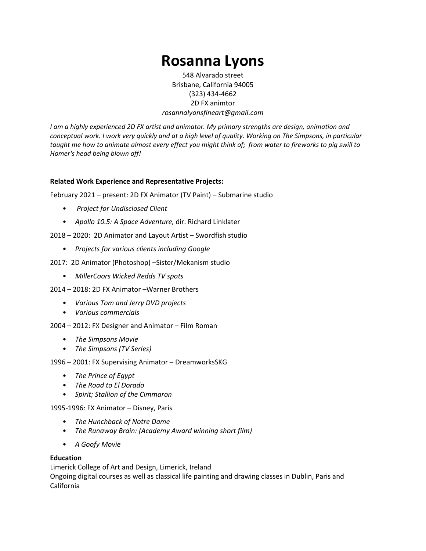# **Rosanna Lyons**

548 Alvarado street Brisbane, California 94005 (323) 434-4662 2D FX animtor *rosannalyonsfineart@gmail.com* 

*I am a highly experienced 2D FX artist and animator. My primary strengths are design, animation and conceptual work. I work very quickly and at a high level of quality. Working on The Simpsons, in particular taught me how to animate almost every effect you might think of; from water to fireworks to pig swill to Homer's head being blown off!* 

## **Related Work Experience and Representative Projects:**

February 2021 – present: 2D FX Animator (TV Paint) – Submarine studio

- *Project for Undisclosed Client*
- *Apollo 10.5: A Space Adventure,* dir. Richard Linklater
- 2018 2020: 2D Animator and Layout Artist Swordfish studio
	- *Projects for various clients including Google*
- 2017: 2D Animator (Photoshop) –Sister/Mekanism studio
	- *MillerCoors Wicked Redds TV spots*
- 2014 2018: 2D FX Animator –Warner Brothers
	- *Various Tom and Jerry DVD projects*
	- *Various commercials*
- 2004 2012: FX Designer and Animator Film Roman
	- *The Simpsons Movie*
	- *The Simpsons (TV Series)*
- 1996 2001: FX Supervising Animator DreamworksSKG
	- *The Prince of Egypt*
	- *The Road to El Dorado*
	- *Spirit; Stallion of the Cimmaron*

1995-1996: FX Animator – Disney, Paris

- *The Hunchback of Notre Dame*
- *The Runaway Brain: (Academy Award winning short film)*
- *A Goofy Movie*

### **Education**

Limerick College of Art and Design, Limerick, Ireland Ongoing digital courses as well as classical life painting and drawing classes in Dublin, Paris and California